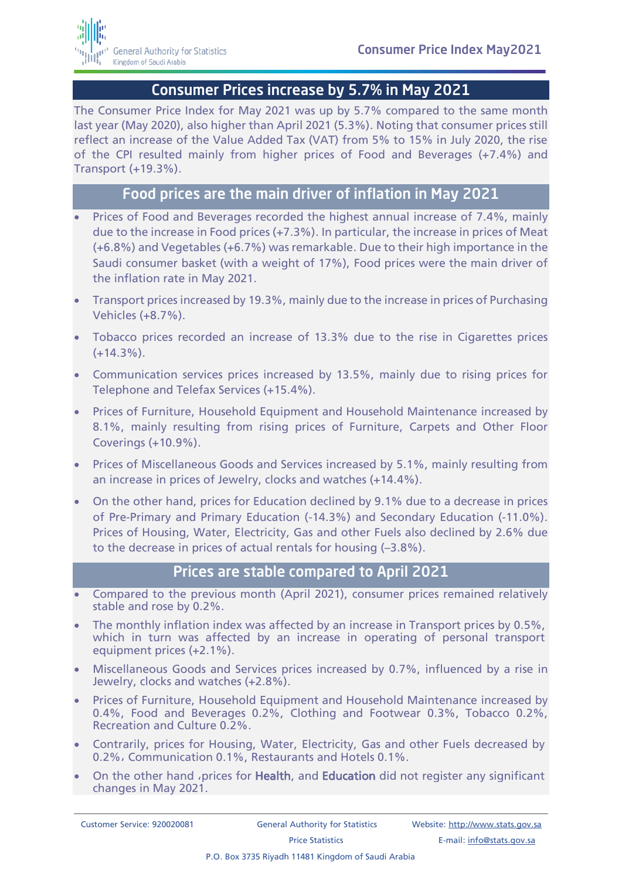

## Consumer Prices increase by 5.7% in May 2021

The Consumer Price Index for May 2021 was up by 5.7% compared to the same month last year (May 2020), also higher than April 2021 (5.3%). Noting that consumer prices still reflect an increase of the Value Added Tax (VAT) from 5% to 15% in July 2020, the rise of the CPI resulted mainly from higher prices of Food and Beverages (+7.4%) and Transport (+19.3%).

## Food prices are the main driver of inflation in May 2021

- Prices of Food and Beverages recorded the highest annual increase of 7.4%, mainly due to the increase in Food prices (+7.3%). In particular, the increase in prices of Meat (+6.8%) and Vegetables (+6.7%) was remarkable. Due to their high importance in the Saudi consumer basket (with a weight of 17%), Food prices were the main driver of the inflation rate in May 2021.
- Transport prices increased by 19.3%, mainly due to the increase in prices of Purchasing Vehicles (+8.7%).
- Tobacco prices recorded an increase of 13.3% due to the rise in Cigarettes prices  $(+14.3\%)$ .
- Communication services prices increased by 13.5%, mainly due to rising prices for Telephone and Telefax Services (+15.4%).
- Prices of Furniture, Household Equipment and Household Maintenance increased by 8.1%, mainly resulting from rising prices of Furniture, Carpets and Other Floor Coverings (+10.9%).
- Prices of Miscellaneous Goods and Services increased by 5.1%, mainly resulting from an increase in prices of Jewelry, clocks and watches (+14.4%).
- On the other hand, prices for Education declined by 9.1% due to a decrease in prices of Pre-Primary and Primary Education (-14.3%) and Secondary Education (-11.0%). Prices of Housing, Water, Electricity, Gas and other Fuels also declined by 2.6% due to the decrease in prices of actual rentals for housing (–3.8%).

## Prices are stable compared to April 2021

- Compared to the previous month (April 2021), consumer prices remained relatively stable and rose by 0.2%.
- The monthly inflation index was affected by an increase in Transport prices by 0.5%, which in turn was affected by an increase in operating of personal transport equipment prices (+2.1%).
- Miscellaneous Goods and Services prices increased by 0.7%, influenced by a rise in Jewelry, clocks and watches (+2.8%).
- Prices of Furniture, Household Equipment and Household Maintenance increased by 0.4%, Food and Beverages 0.2%, Clothing and Footwear 0.3%, Tobacco 0.2%, Recreation and Culture 0.2%.
- Contrarily, prices for Housing, Water, Electricity, Gas and other Fuels decreased by 0.2%, Communication 0.1%, Restaurants and Hotels 0.1%.
- On the other hand , prices for Health, and Education did not register any significant changes in May 2021.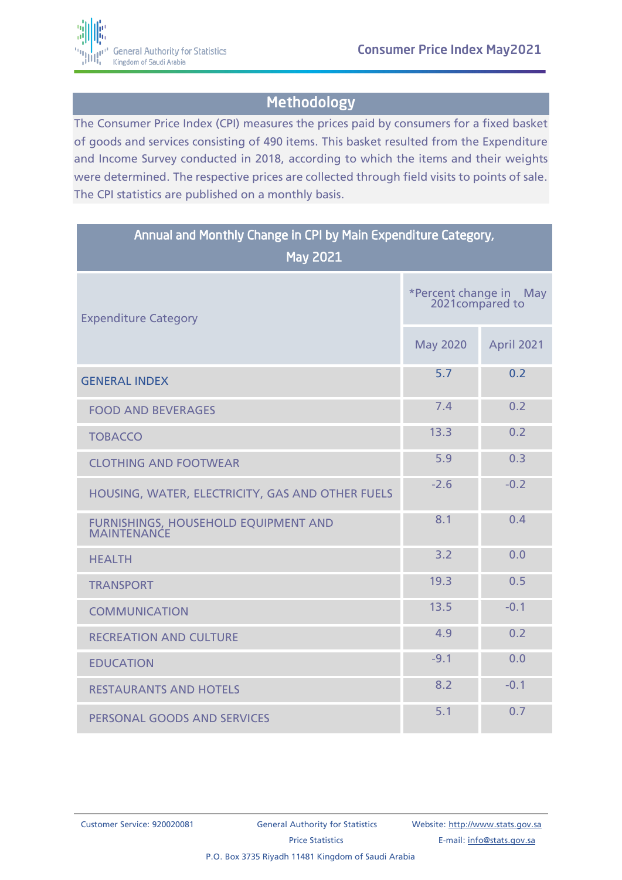

## Methodology

The Consumer Price Index (CPI) measures the prices paid by consumers for a fixed basket of goods and services consisting of 490 items. This basket resulted from the Expenditure and Income Survey conducted in 2018, according to which the items and their weights were determined. The respective prices are collected through field visits to points of sale. The CPI statistics are published on a monthly basis.

| Annual and Monthly Change in CPI by Main Expenditure Category,<br><b>May 2021</b> |                                               |                   |
|-----------------------------------------------------------------------------------|-----------------------------------------------|-------------------|
| <b>Expenditure Category</b>                                                       | *Percent change in<br>May<br>2021 compared to |                   |
|                                                                                   | <b>May 2020</b>                               | <b>April 2021</b> |
| <b>GENERAL INDEX</b>                                                              | 5.7                                           | 0.2               |
| <b>FOOD AND BEVERAGES</b>                                                         | 7.4                                           | 0.2               |
| <b>TOBACCO</b>                                                                    | 13.3                                          | 0.2               |
| <b>CLOTHING AND FOOTWEAR</b>                                                      | 5.9                                           | 0.3               |
| HOUSING, WATER, ELECTRICITY, GAS AND OTHER FUELS                                  | $-2.6$                                        | $-0.2$            |
| FURNISHINGS, HOUSEHOLD EQUIPMENT AND<br><b>MAINTENANCE</b>                        | 8.1                                           | 0.4               |
| <b>HEALTH</b>                                                                     | 3.2                                           | 0.0               |
| <b>TRANSPORT</b>                                                                  | 19.3                                          | 0.5               |
| <b>COMMUNICATION</b>                                                              | 13.5                                          | $-0.1$            |
| <b>RECREATION AND CULTURE</b>                                                     | 4.9                                           | 0.2               |
| <b>EDUCATION</b>                                                                  | $-9.1$                                        | 0.0               |
| <b>RESTAURANTS AND HOTELS</b>                                                     | 8.2                                           | $-0.1$            |
| PERSONAL GOODS AND SERVICES                                                       | 5.1                                           | 0.7               |